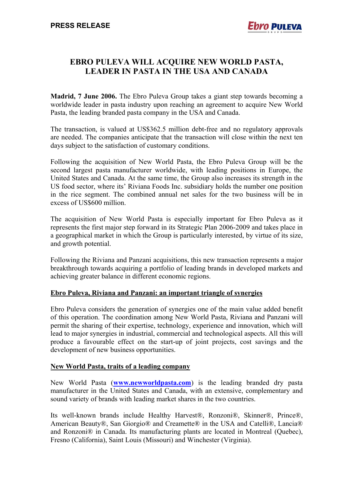## **EBRO PULEVA WILL ACQUIRE NEW WORLD PASTA, LEADER IN PASTA IN THE USA AND CANADA**

**Madrid, 7 June 2006.** The Ebro Puleva Group takes a giant step towards becoming a worldwide leader in pasta industry upon reaching an agreement to acquire New World Pasta, the leading branded pasta company in the USA and Canada.

The transaction, is valued at US\$362.5 million debt-free and no regulatory approvals are needed. The companies anticipate that the transaction will close within the next ten days subject to the satisfaction of customary conditions.

Following the acquisition of New World Pasta, the Ebro Puleva Group will be the second largest pasta manufacturer worldwide, with leading positions in Europe, the United States and Canada. At the same time, the Group also increases its strength in the US food sector, where its' Riviana Foods Inc. subsidiary holds the number one position in the rice segment. The combined annual net sales for the two business will be in excess of US\$600 million.

The acquisition of New World Pasta is especially important for Ebro Puleva as it represents the first major step forward in its Strategic Plan 2006-2009 and takes place in a geographical market in which the Group is particularly interested, by virtue of its size, and growth potential.

Following the Riviana and Panzani acquisitions, this new transaction represents a major breakthrough towards acquiring a portfolio of leading brands in developed markets and achieving greater balance in different economic regions.

## **Ebro Puleva, Riviana and Panzani: an important triangle of synergies**

Ebro Puleva considers the generation of synergies one of the main value added benefit of this operation. The coordination among New World Pasta, Riviana and Panzani will permit the sharing of their expertise, technology, experience and innovation, which will lead to major synergies in industrial, commercial and technological aspects. All this will produce a favourable effect on the start-up of joint projects, cost savings and the development of new business opportunities.

## **New World Pasta, traits of a leading company**

New World Pasta (**[www.newworldpasta.com](http://www.newworldpasta.com/)**) is the leading branded dry pasta manufacturer in the United States and Canada, with an extensive, complementary and sound variety of brands with leading market shares in the two countries.

Its well-known brands include Healthy Harvest®, Ronzoni®, Skinner®, Prince®, American Beauty®, San Giorgio® and Creamette® in the USA and Catelli®, Lancia® and Ronzoni® in Canada. Its manufacturing plants are located in Montreal (Quebec), Fresno (California), Saint Louis (Missouri) and Winchester (Virginia).